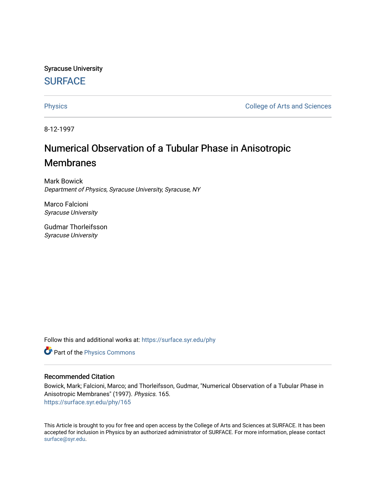Syracuse University **[SURFACE](https://surface.syr.edu/)** 

[Physics](https://surface.syr.edu/phy) **College of Arts and Sciences** 

8-12-1997

# Numerical Observation of a Tubular Phase in Anisotropic Membranes

Mark Bowick Department of Physics, Syracuse University, Syracuse, NY

Marco Falcioni Syracuse University

Gudmar Thorleifsson Syracuse University

Follow this and additional works at: [https://surface.syr.edu/phy](https://surface.syr.edu/phy?utm_source=surface.syr.edu%2Fphy%2F165&utm_medium=PDF&utm_campaign=PDFCoverPages)

Part of the [Physics Commons](http://network.bepress.com/hgg/discipline/193?utm_source=surface.syr.edu%2Fphy%2F165&utm_medium=PDF&utm_campaign=PDFCoverPages)

#### Recommended Citation

Bowick, Mark; Falcioni, Marco; and Thorleifsson, Gudmar, "Numerical Observation of a Tubular Phase in Anisotropic Membranes" (1997). Physics. 165. [https://surface.syr.edu/phy/165](https://surface.syr.edu/phy/165?utm_source=surface.syr.edu%2Fphy%2F165&utm_medium=PDF&utm_campaign=PDFCoverPages)

This Article is brought to you for free and open access by the College of Arts and Sciences at SURFACE. It has been accepted for inclusion in Physics by an authorized administrator of SURFACE. For more information, please contact [surface@syr.edu.](mailto:surface@syr.edu)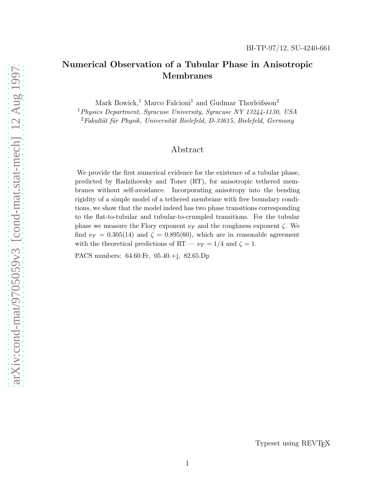## Numerical Observation of a Tubular Phase in Anisotropic Membranes

Mark Bowick,<sup>1</sup> Marco Falcioni<sup>1</sup> and Gudmar Thorleifsson<sup>2</sup>

 $1$ Physics Department, Syracuse University, Syracuse NY 13244-1130, USA  $2Fakultät für Physik, Universität Bielefeld, D-33615, Bielefeld, Germany$ 

## Abstract

We provide the first numerical evidence for the existence of a tubular phase, predicted by Radzihovsky and Toner (RT), for anisotropic tethered membranes without self-avoidance. Incorporating anisotropy into the bending rigidity of a simple model of a tethered membrane with free boundary conditions, we show that the model indeed has two phase transitions corresponding to the flat-to-tubular and tubular-to-crumpled transitions. For the tubular phase we measure the Flory exponent  $\nu_F$  and the roughness exponent  $\zeta$ . We find  $\nu_F = 0.305(14)$  and  $\zeta = 0.895(60)$ , which are in reasonable agreement with the theoretical predictions of RT  $-\nu_F = 1/4$  and  $\zeta = 1$ .

PACS numbers: 64.60.Fr, 05.40.+j, 82.65.Dp

Typeset using REVTEX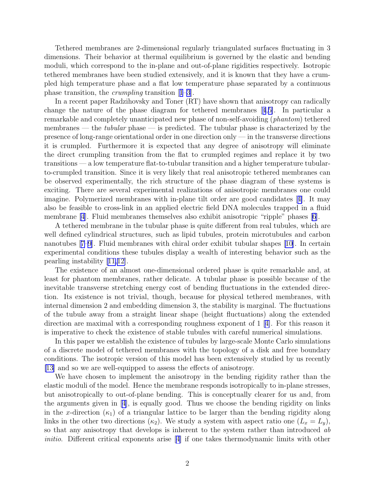Tethered membranes are 2-dimensional regularly triangulated surfaces fluctuating in 3 dimensions. Their behavior at thermal equilibrium is governed by the elastic and bending moduli, which correspond to the in-plane and out-of-plane rigidities respectively. Isotropic tethered membranes have been studied extensively, and it is known that they have a crumpled high temperature phase and a flat low temperature phase separated by a continuous phase transition, the crumpling transition[[1–3](#page-8-0)].

In a recent paper Radzihovsky and Toner (RT) have shown that anisotropy can radically change the nature of the phase diagram for tethered membranes[[4](#page-8-0),[5\]](#page-8-0). In particular a remarkable and completely unanticipated new phase of non-self-avoiding (phantom) tethered membranes — the *tubular* phase — is predicted. The tubular phase is characterized by the presence of long-range orientational order in one direction only — in the transverse directions it is crumpled. Furthermore it is expected that any degree of anisotropy will eliminate the direct crumpling transition from the flat to crumpled regimes and replace it by two transitions — a low temperature flat-to-tubular transition and a higher temperature tubularto-crumpled transition. Since it is very likely that real anisotropic tethered membranes can be observed experimentally, the rich structure of the phase diagram of these systems is exciting. There are several experimental realizations of anisotropic membranes one could imagine. Polymerized membranes with in-plane tilt order are good candidates[[4\]](#page-8-0). It may also be feasible to cross-link in an applied electric field DNA molecules trapped in a fluid membrane [\[4](#page-8-0)]. Fluid membranes themselves also exhibit anisotropic "ripple" phases[[6\]](#page-8-0).

A tethered membrane in the tubular phase is quite different from real tubules, which are well defined cylindrical structures, such as lipid tubules, protein microtubules and carbon nanotubes[[7–9](#page-8-0)]. Fluid membranes with chiral order exhibit tubular shapes [\[10\]](#page-8-0). In certain experimental conditions these tubules display a wealth of interesting behavior such as the pearling instability[[11,12\]](#page-8-0).

The existence of an almost one-dimensional ordered phase is quite remarkable and, at least for phantom membranes, rather delicate. A tubular phase is possible because of the inevitable transverse stretching energy cost of bending fluctuations in the extended direction. Its existence is not trivial, though, because for physical tethered membranes, with internal dimension 2 and embedding dimension 3, the stability is marginal. The fluctuations of the tubule away from a straight linear shape (height fluctuations) along the extended directionare maximal with a corresponding roughness exponent of  $1 \, 4$ . For this reason it is imperative to check the existence of stable tubules with careful numerical simulations.

In this paper we establish the existence of tubules by large-scale Monte Carlo simulations of a discrete model of tethered membranes with the topology of a disk and free boundary conditions. The isotropic version of this model has been extensively studied by us recently [\[13](#page-8-0)] and so we are well-equipped to assess the effects of anisotropy.

We have chosen to implement the anisotropy in the bending rigidity rather than the elastic moduli of the model. Hence the membrane responds isotropically to in-plane stresses, but anisotropically to out-of-plane bending. This is conceptually clearer for us and, from the arguments given in[[4\]](#page-8-0), is equally good. Thus we choose the bending rigidity on links in the x-direction  $(\kappa_1)$  of a triangular lattice to be larger than the bending rigidity along links in the other two directions  $(\kappa_2)$ . We study a system with aspect ratio one  $(L_x = L_y)$ , so that any anisotropy that develops is inherent to the system rather than introduced ab initio. Different critical exponents arise [\[4\]](#page-8-0) if one takes thermodynamic limits with other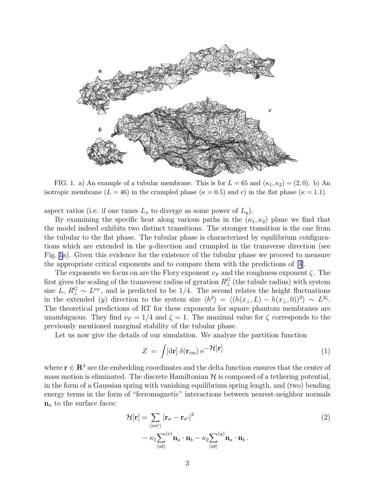<span id="page-3-0"></span>

FIG. 1. a) An example of a tubular membrane. This is for  $L = 65$  and  $(\kappa_1, \kappa_2) = (2, 0)$ . b) An isotropic membrane  $(L = 46)$  in the crumpled phase  $(\kappa = 0.5)$  and c) in the flat phase  $(\kappa = 1.1)$ .

aspect ratios (i.e. if one tunes  $L_x$  to diverge as some power of  $L_y$ ).

By examining the specific heat along various paths in the  $(\kappa_1, \kappa_2)$  plane we find that the model indeed exhibits two distinct transitions. The stronger transition is the one from the tubular to the flat phase. The tubular phase is characterized by equilibrium configurations which are extended in the y-direction and crumpled in the transverse direction (see Fig. 1a). Given this evidence for the existence of the tubular phase we proceed to measure the appropriate critical exponents and to compare them with the predictions of [\[4](#page-8-0)].

The exponents we focus on are the Flory exponent  $\nu_F$  and the roughness exponent  $\zeta$ . The first gives the scaling of the transverse radius of gyration  $R_{\perp}^G$  (the tubule radius) with system size L,  $R_{\perp}^G \sim L^{\nu_F}$ , and is predicted to be 1/4. The second relates the height fluctuations in the extended (y) direction to the system size  $\langle h^2 \rangle = \langle (h(x_\perp, L) - h(x_\perp, 0))^2 \rangle \sim L^{2\zeta}$ . The theoretical predictions of RT for these exponents for square phantom membranes are unambiguous. They find  $\nu_F = 1/4$  and  $\zeta = 1$ . The maximal value for  $\zeta$  corresponds to the previously mentioned marginal stability of the tubular phase.

Let us now give the details of our simulation. We analyze the partition function

$$
Z = \int [\mathrm{d}\mathbf{r}] \, \delta(\mathbf{r}_{\rm cm}) \, \mathrm{e}^{-\mathcal{H}[\mathbf{r}]}\tag{1}
$$

where  $\mathbf{r} \in \mathbb{R}^3$  are the embedding coordinates and the delta function ensures that the center of mass motion is eliminated. The discrete Hamiltonian  $H$  is composed of a tethering potential, in the form of a Gaussian spring with vanishing equilibrium spring length, and (two) bending energy terms in the form of "ferromagnetic" interactions between nearest-neighbor normals  $n_a$  to the surface faces:

$$
\mathcal{H}[\mathbf{r}] = \sum_{\langle \sigma \sigma' \rangle} |\mathbf{r}_{\sigma} - \mathbf{r}_{\sigma'}|^2 \n- \kappa_1 \sum_{\langle ab \rangle} (x) \mathbf{n}_a \cdot \mathbf{n}_b - \kappa_2 \sum_{\langle ab \rangle} (y) \mathbf{n}_a \cdot \mathbf{n}_b.
$$
\n(2)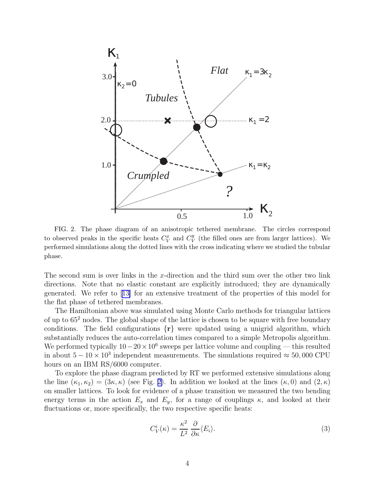<span id="page-4-0"></span>

FIG. 2. The phase diagram of an anisotropic tethered membrane. The circles correspond to observed peaks in the specific heats  $C_V^x$  and  $C_V^y$  $\frac{y}{V}$  (the filled ones are from larger lattices). We performed simulations along the dotted lines with the cross indicating where we studied the tubular phase.

The second sum is over links in the x-direction and the third sum over the other two link directions. Note that no elastic constant are explicitly introduced; they are dynamically generated. We refer to[[13\]](#page-8-0) for an extensive treatment of the properties of this model for the flat phase of tethered membranes.

The Hamiltonian above was simulated using Monte Carlo methods for triangular lattices of up to 65<sup>2</sup> nodes. The global shape of the lattice is chosen to be square with free boundary conditions. The field configurations  $\{r\}$  were updated using a unigrid algorithm, which substantially reduces the auto-correlation times compared to a simple Metropolis algorithm. We performed typically  $10-20 \times 10^6$  sweeps per lattice volume and coupling — this resulted in about  $5-10 \times 10^3$  independent measurements. The simulations required  $\approx 50,000$  CPU hours on an IBM RS/6000 computer.

To explore the phase diagram predicted by RT we performed extensive simulations along the line  $(\kappa_1, \kappa_2) = (3\kappa, \kappa)$  (see Fig. 2). In addition we looked at the lines  $(\kappa, 0)$  and  $(2, \kappa)$ on smaller lattices. To look for evidence of a phase transition we measured the two bending energy terms in the action  $E_x$  and  $E_y$ , for a range of couplings  $\kappa$ , and looked at their fluctuations or, more specifically, the two respective specific heats:

$$
C_V^i(\kappa) = \frac{\kappa^2}{L^2} \frac{\partial}{\partial \kappa} \langle E_i \rangle.
$$
 (3)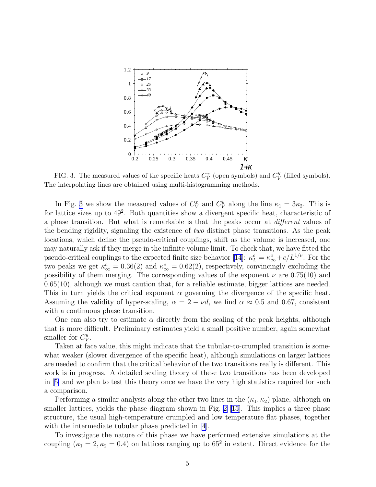

FIG. 3. The measured values of the specific heats  $C_V^x$  (open symbols) and  $C_V^y$  $V$ <sup>y</sup> (filled symbols). The interpolating lines are obtained using multi-histogramming methods.

In Fig. 3 we show the measured values of  $C_V^x$  and  $C_V^y$  $V$  along the line  $\kappa_1 = 3\kappa_2$ . This is for lattice sizes up to  $49^2$ . Both quantities show a divergent specific heat, characteristic of a phase transition. But what is remarkable is that the peaks occur at different values of the bending rigidity, signaling the existence of two distinct phase transitions. As the peak locations, which define the pseudo-critical couplings, shift as the volume is increased, one may naturally ask if they merge in the infinite volume limit. To check that, we have fitted the pseudo-critical couplings to the expected finite size behavior [\[14\]](#page-8-0):  $\kappa_L^c = \kappa_\infty^c + c/L^{1/\nu}$ . For the two peaks we get  $\kappa_{\infty}^c = 0.36(2)$  and  $\kappa_{\infty}^c = 0.62(2)$ , respectively, convincingly excluding the possibility of them merging. The corresponding values of the exponent  $\nu$  are 0.75(10) and 0.65(10), although we must caution that, for a reliable estimate, bigger lattices are needed. This in turn yields the critical exponent  $\alpha$  governing the divergence of the specific heat. Assuming the validity of hyper-scaling,  $\alpha = 2 - \nu d$ , we find  $\alpha \approx 0.5$  and 0.67, consistent with a continuous phase transition.

One can also try to estimate  $\alpha$  directly from the scaling of the peak heights, although that is more difficult. Preliminary estimates yield a small positive number, again somewhat smaller for  $C_V^y$  $_V^y$ .

Taken at face value, this might indicate that the tubular-to-crumpled transition is somewhat weaker (slower divergence of the specific heat), although simulations on larger lattices are needed to confirm that the critical behavior of the two transitions really is different. This work is in progress. A detailed scaling theory of these two transitions has been developed in[[5\]](#page-8-0) and we plan to test this theory once we have the very high statistics required for such a comparison.

Performing a similar analysis along the other two lines in the  $(\kappa_1, \kappa_2)$  plane, although on smaller lattices, yields the phase diagram shown in Fig. [2](#page-4-0) [\[15](#page-8-0)]. This implies a three phase structure, the usual high-temperature crumpled and low temperature flat phases, together with the intermediate tubular phase predicted in [\[4](#page-8-0)].

To investigate the nature of this phase we have performed extensive simulations at the coupling  $(\kappa_1 = 2, \kappa_2 = 0.4)$  on lattices ranging up to 65<sup>2</sup> in extent. Direct evidence for the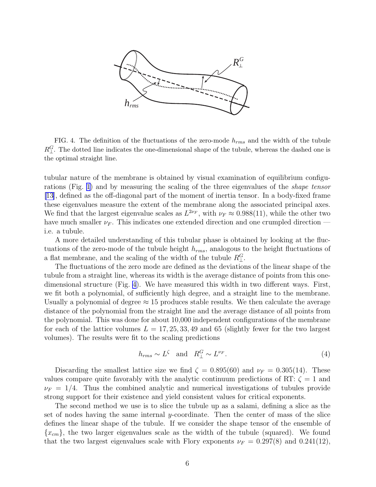

FIG. 4. The definition of the fluctuations of the zero-mode  $h_{rms}$  and the width of the tubule  $R_{\perp}^G$ . The dotted line indicates the one-dimensional shape of the tubule, whereas the dashed one is the optimal straight line.

tubular nature of the membrane is obtained by visual examination of equilibrium configurations (Fig. [1\)](#page-3-0) and by measuring the scaling of the three eigenvalues of the shape tensor [\[13](#page-8-0)], defined as the off-diagonal part of the moment of inertia tensor. In a body-fixed frame these eigenvalues measure the extent of the membrane along the associated principal axes. We find that the largest eigenvalue scales as  $L^{2\nu_F}$ , with  $\nu_F \approx 0.988(11)$ , while the other two have much smaller  $\nu_F$ . This indicates one extended direction and one crumpled direction i.e. a tubule.

A more detailed understanding of this tubular phase is obtained by looking at the fluctuations of the zero-mode of the tubule height  $h_{rms}$ , analogous to the height fluctuations of a flat membrane, and the scaling of the width of the tubule  $R_{\perp}^{G}$ .

The fluctuations of the zero mode are defined as the deviations of the linear shape of the tubule from a straight line, whereas its width is the average distance of points from this onedimensional structure (Fig. 4). We have measured this width in two different ways. First, we fit both a polynomial, of sufficiently high degree, and a straight line to the membrane. Usually a polynomial of degree  $\approx 15$  produces stable results. We then calculate the average distance of the polynomial from the straight line and the average distance of all points from the polynomial. This was done for about 10,000 independent configurations of the membrane for each of the lattice volumes  $L = 17, 25, 33, 49$  and 65 (slightly fewer for the two largest volumes). The results were fit to the scaling predictions

$$
h_{rms} \sim L^{\zeta} \quad \text{and} \quad R_{\perp}^{G} \sim L^{\nu_{F}}.
$$
\n
$$
\tag{4}
$$

Discarding the smallest lattice size we find  $\zeta = 0.895(60)$  and  $\nu_F = 0.305(14)$ . These values compare quite favorably with the analytic continuum predictions of RT:  $\zeta = 1$  and  $\nu_F = 1/4$ . Thus the combined analytic and numerical investigations of tubules provide strong support for their existence and yield consistent values for critical exponents.

The second method we use is to slice the tubule up as a salami, defining a slice as the set of nodes having the same internal y-coordinate. Then the center of mass of the slice defines the linear shape of the tubule. If we consider the shape tensor of the ensemble of  ${x<sub>cm</sub>}$ , the two larger eigenvalues scale as the width of the tubule (squared). We found that the two largest eigenvalues scale with Flory exponents  $\nu_F = 0.297(8)$  and  $0.241(12)$ ,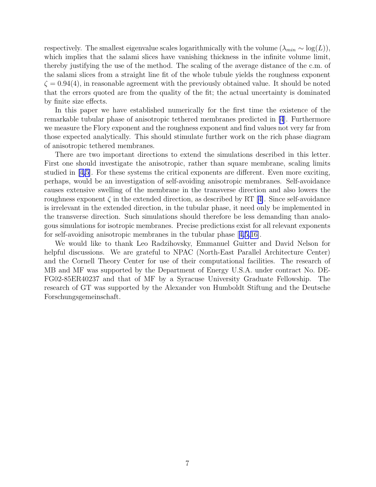respectively. The smallest eigenvalue scales logarithmically with the volume  $(\lambda_{min} \sim \log(L)),$ which implies that the salami slices have vanishing thickness in the infinite volume limit, thereby justifying the use of the method. The scaling of the average distance of the c.m. of the salami slices from a straight line fit of the whole tubule yields the roughness exponent  $\zeta = 0.94(4)$ , in reasonable agreement with the previously obtained value. It should be noted that the errors quoted are from the quality of the fit; the actual uncertainty is dominated by finite size effects.

In this paper we have established numerically for the first time the existence of the remarkable tubular phase of anisotropic tethered membranes predicted in [\[4](#page-8-0)]. Furthermore we measure the Flory exponent and the roughness exponent and find values not very far from those expected analytically. This should stimulate further work on the rich phase diagram of anisotropic tethered membranes.

There are two important directions to extend the simulations described in this letter. First one should investigate the anisotropic, rather than square membrane, scaling limits studied in [\[4,5](#page-8-0)]. For these systems the critical exponents are different. Even more exciting, perhaps, would be an investigation of self-avoiding anisotropic membranes. Self-avoidance causes extensive swelling of the membrane in the transverse direction and also lowers the roughnessexponent  $\zeta$  in the extended direction, as described by RT [[4\]](#page-8-0). Since self-avoidance is irrelevant in the extended direction, in the tubular phase, it need only be implemented in the transverse direction. Such simulations should therefore be less demanding than analogous simulations for isotropic membranes. Precise predictions exist for all relevant exponents for self-avoiding anisotropic membranes in the tubular phase[[4,5,16\]](#page-8-0).

We would like to thank Leo Radzihovsky, Emmanuel Guitter and David Nelson for helpful discussions. We are grateful to NPAC (North-East Parallel Architecture Center) and the Cornell Theory Center for use of their computational facilities. The research of MB and MF was supported by the Department of Energy U.S.A. under contract No. DE-FG02-85ER40237 and that of MF by a Syracuse University Graduate Fellowship. The research of GT was supported by the Alexander von Humboldt Stiftung and the Deutsche Forschungsgemeinschaft.